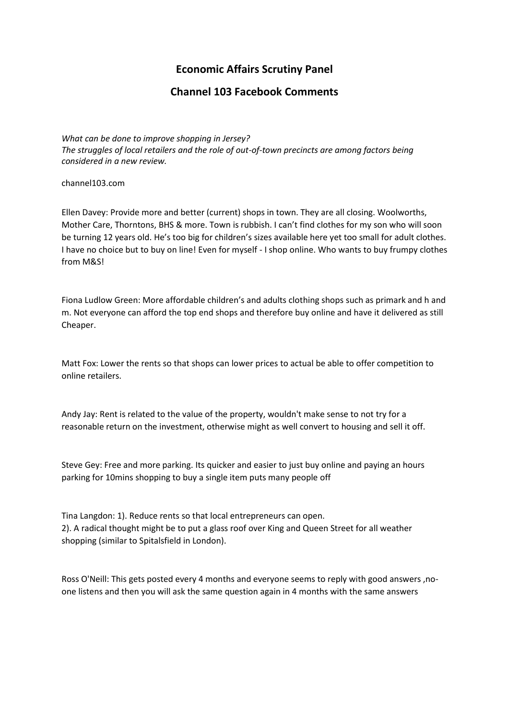## **Economic Affairs Scrutiny Panel**

## **Channel 103 Facebook Comments**

*What can be done to improve shopping in Jersey? The struggles of local retailers and the role of out-of-town precincts are among factors being considered in a new review.*

channel103.com

[Ellen Davey:](https://www.facebook.com/ellen.davey.35?fref=ufi&rc=p) Provide more and better (current) shops in town. They are all closing. Woolworths, Mother Care, Thorntons, BHS & more. Town is rubbish. I can't find clothes for my son who will soon be turning 12 years old. He's too big for children's sizes available here yet too small for adult clothes. I have no choice but to buy on line! Even for myself - I shop online. Who wants to buy frumpy clothes from M&S!

[Fiona Ludlow Green:](https://www.facebook.com/fifi1976?fref=ufi&rc=p) More affordable children's and adults clothing shops such as primark and h and m. Not everyone can afford the top end shops and therefore buy online and have it delivered as still Cheaper.

[Matt Fox:](https://www.facebook.com/matt.fox.54?fref=ufi&rc=p) Lower the rents so that shops can lower prices to actual be able to offer competition to online retailers.

[Andy Jay:](https://www.facebook.com/andy.jay.186?fref=ufi&rc=p) Rent is related to the value of the property, wouldn't make sense to not try for a reasonable return on the investment, otherwise might as well convert to housing and sell it off.

[Steve Gey:](https://www.facebook.com/steveridei?fref=ufi&rc=p) Free and more parking. Its quicker and easier to just buy online and paying an hours parking for 10mins shopping to buy a single item puts many people off

[Tina Langdon:](https://www.facebook.com/tina.langdon1?fref=ufi&rc=p) 1). Reduce rents so that local entrepreneurs can open. 2). A radical thought might be to put a glass roof over King and Queen Street for all weather shopping (similar to Spitalsfield in London).

[Ross O'Neill:](https://www.facebook.com/rossoneill6?fref=ufi&rc=p) This gets posted every 4 months and everyone seems to reply with good answers ,noone listens and then you will ask the same question again in 4 months with the same answers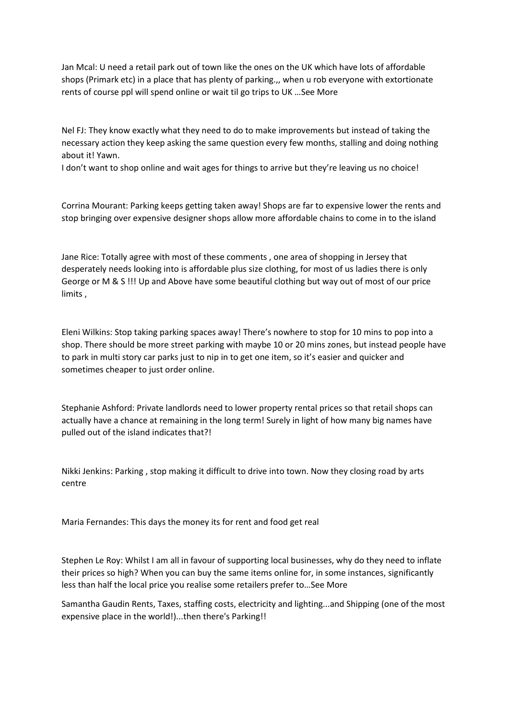[Jan Mcal:](https://www.facebook.com/jmcallister9?fref=ufi&rc=p) U need a retail park out of town like the ones on the UK which have lots of affordable shops (Primark etc) in a place that has plenty of parking.,, when u rob everyone with extortionate rents of course ppl will spend online or wait til go trips to UK …[See More](https://www.facebook.com/304564892004/posts/10155758117567005/)

[Nel FJ:](https://www.facebook.com/nelitaj?fref=ufi&rc=p) They know exactly what they need to do to make improvements but instead of taking the necessary action they keep asking the same question every few months, stalling and doing nothing about it! Yawn.

I don't want to shop online and wait ages for things to arrive but they're leaving us no choice!

[Corrina Mourant:](https://www.facebook.com/corrina.festou1?fref=ufi&rc=p) Parking keeps getting taken away! Shops are far to expensive lower the rents and stop bringing over expensive designer shops allow more affordable chains to come in to the island

[Jane Rice:](https://www.facebook.com/jane.rice.714?fref=ufi&rc=p) Totally agree with most of these comments , one area of shopping in Jersey that desperately needs looking into is affordable plus size clothing, for most of us ladies there is only George or M & S !!! Up and Above have some beautiful clothing but way out of most of our price limits ,

[Eleni Wilkins:](https://www.facebook.com/MetalMistress1?fref=ufi&rc=p) Stop taking parking spaces away! There's nowhere to stop for 10 mins to pop into a shop. There should be more street parking with maybe 10 or 20 mins zones, but instead people have to park in multi story car parks just to nip in to get one item, so it's easier and quicker and sometimes cheaper to just order online.

[Stephanie Ashford:](https://www.facebook.com/stephanie.noel.9085?fref=ufi&rc=p) Private landlords need to lower property rental prices so that retail shops can actually have a chance at remaining in the long term! Surely in light of how many big names have pulled out of the island indicates that?!

[Nikki Jenkins:](https://www.facebook.com/nikkispj?fref=ufi&rc=p) Parking , stop making it difficult to drive into town. Now they closing road by arts centre

[Maria Fernandes:](https://www.facebook.com/maria.fernandes.7792?fref=ufi&rc=p) This days the money its for rent and food get real

[Stephen Le Roy:](https://www.facebook.com/stephen.leroy.39?fref=ufi&rc=p) Whilst I am all in favour of supporting local businesses, why do they need to inflate their prices so high? When you can buy the same items online for, in some instances, significantly less than half the local price you realise some retailers prefer to…[See More](https://www.facebook.com/304564892004/posts/10155758117567005/)

[Samantha Gaudin](https://www.facebook.com/sam.gaudin?fref=ufi&rc=p) Rents, Taxes, staffing costs, electricity and lighting...and Shipping (one of the most expensive place in the world!)...then there's Parking!!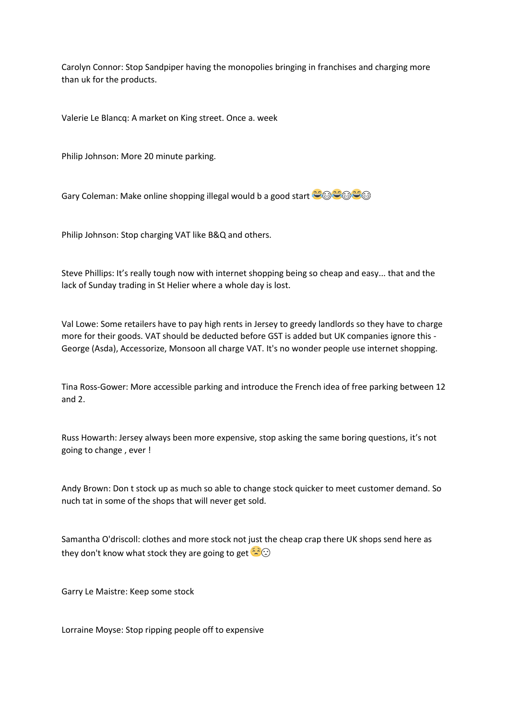[Carolyn Connor:](https://www.facebook.com/carolyn.connor2?fref=ufi&rc=p) Stop Sandpiper having the monopolies bringing in franchises and charging more than uk for the products.

[Valerie Le Blancq:](https://www.facebook.com/valerie.leblancq?fref=ufi&rc=p) A market on King street. Once a. week

[Philip Johnson:](https://www.facebook.com/philip.johnson.jersey.sharp?fref=ufi&rc=p) More 20 minute parking.

[Gary Coleman:](https://www.facebook.com/gary.coleman.357?fref=ufi&rc=p) Make online shopping illegal would b a good start  $\bigcirc \otimes \bigcirc \otimes$ 

[Philip Johnson:](https://www.facebook.com/philip.johnson.jersey.sharp?fref=ufi&rc=p) Stop charging VAT like B&Q and others.

[Steve Phillips:](https://www.facebook.com/welsh.steve.3?fref=ufi&rc=p) It's really tough now with internet shopping being so cheap and easy... that and the lack of Sunday trading in St Helier where a whole day is lost.

[Val Lowe:](https://www.facebook.com/val.lowe.50999?fref=ufi&rc=p) Some retailers have to pay high rents in Jersey to greedy landlords so they have to charge more for their goods. VAT should be deducted before GST is added but UK companies ignore this - George (Asda), Accessorize, Monsoon all charge VAT. It's no wonder people use internet shopping.

[Tina Ross-Gower:](https://www.facebook.com/tina.rossgower?fref=ufi&rc=p) More accessible parking and introduce the French idea of free parking between 12 and 2.

[Russ Howarth:](https://www.facebook.com/russ.howarth.10?fref=ufi&rc=p) Jersey always been more expensive, stop asking the same boring questions, it's not going to change , ever !

[Andy Brown:](https://www.facebook.com/andy.brown.3551?fref=ufi&rc=p) Don t stock up as much so able to change stock quicker to meet customer demand. So nuch tat in some of the shops that will never get sold.

[Samantha O'driscoll:](https://www.facebook.com/odriscollsamantha?fref=ufi&rc=p) clothes and more stock not just the cheap crap there UK shops send here as they don't know what stock they are going to get  $\leq$ 

[Garry Le Maistre:](https://www.facebook.com/garry.lemaistre?fref=ufi&rc=p) Keep some stock

[Lorraine Moyse:](https://www.facebook.com/lorraine.moyse.3?fref=ufi&rc=p) Stop ripping people off to expensive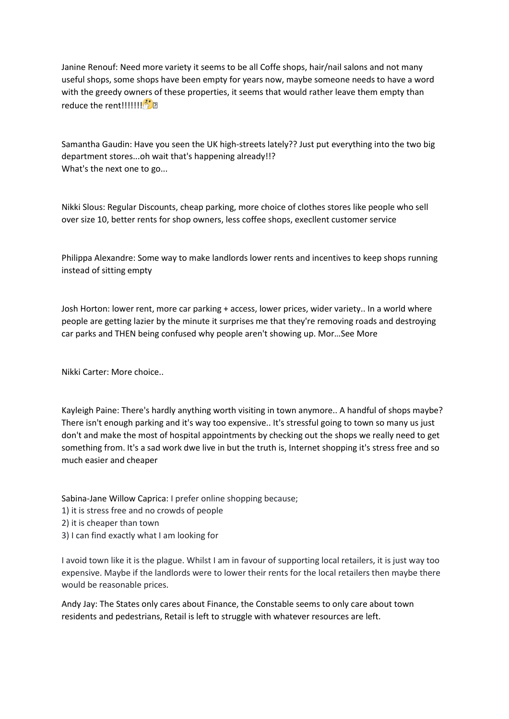[Janine Renouf:](https://www.facebook.com/profile.php?id=100009094494574&fref=ufi&rc=p) Need more variety it seems to be all Coffe shops, hair/nail salons and not many useful shops, some shops have been empty for years now, maybe someone needs to have a word with the greedy owners of these properties, it seems that would rather leave them empty than reduce the rent!!!!!!!!

[Samantha Gaudin:](https://www.facebook.com/sam.gaudin?fref=ufi&rc=p) Have you seen the UK high-streets lately?? Just put everything into the two big department stores...oh wait that's happening already!!? What's the next one to go...

[Nikki Slous:](https://www.facebook.com/nikki.f.9?fref=ufi&rc=p) Regular Discounts, cheap parking, more choice of clothes stores like people who sell over size 10, better rents for shop owners, less coffee shops, execllent customer service

[Philippa Alexandre:](https://www.facebook.com/philippamacon?fref=ufi&rc=p) Some way to make landlords lower rents and incentives to keep shops running instead of sitting empty

[Josh Horton:](https://www.facebook.com/Jkrexx?fref=ufi&rc=p) lower rent, more car parking + access, lower prices, wider variety.. In a world where people are getting lazier by the minute it surprises me that they're removing roads and destroying car parks and THEN being confused why people aren't showing up. Mor…[See More](https://www.facebook.com/304564892004/posts/10155758117567005/)

[Nikki Carter:](https://www.facebook.com/nikki.carter.1217?fref=ufi&rc=p) More choice..

[Kayleigh Paine:](https://www.facebook.com/kayleigh.paine.1?fref=ufi&rc=p) There's hardly anything worth visiting in town anymore.. A handful of shops maybe? There isn't enough parking and it's way too expensive.. It's stressful going to town so many us just don't and make the most of hospital appointments by checking out the shops we really need to get something from. It's a sad work dwe live in but the truth is, Internet shopping it's stress free and so much easier and cheaper

[Sabina-Jane Willow Caprica:](https://www.facebook.com/SabinaJaneWillow.Caprica?fref=ufi&rc=p) I prefer online shopping because;

- 1) it is stress free and no crowds of people
- 2) it is cheaper than town
- 3) I can find exactly what I am looking for

I avoid town like it is the plague. Whilst I am in favour of supporting local retailers, it is just way too expensive. Maybe if the landlords were to lower their rents for the local retailers then maybe there would be reasonable prices.

[Andy Jay:](https://www.facebook.com/andy.jay.186?fref=ufi&rc=p) The States only cares about Finance, the Constable seems to only care about town residents and pedestrians, Retail is left to struggle with whatever resources are left.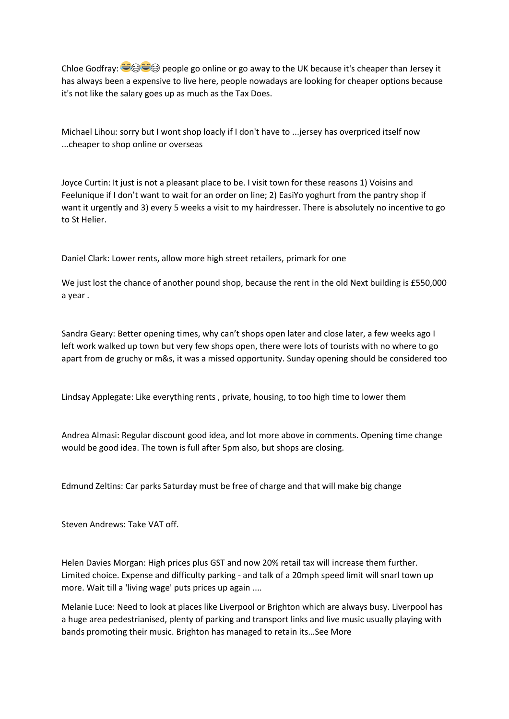[Chloe Godfray:](https://www.facebook.com/Chloeegodfray?fref=ufi&rc=p)  $\bigcirc \otimes \bigcirc \otimes$  people go online or go away to the UK because it's cheaper than Jersey it has always been a expensive to live here, people nowadays are looking for cheaper options because it's not like the salary goes up as much as the Tax Does.

[Michael Lihou:](https://www.facebook.com/mike.lihou.3?fref=ufi&rc=p) sorry but I wont shop loacly if I don't have to ...jersey has overpriced itself now ...cheaper to shop online or overseas

[Joyce Curtin:](https://www.facebook.com/joyce.curtin?fref=ufi&rc=p) It just is not a pleasant place to be. I visit town for these reasons 1) Voisins and Feelunique if I don't want to wait for an order on line; 2) EasiYo yoghurt from the pantry shop if want it urgently and 3) every 5 weeks a visit to my hairdresser. There is absolutely no incentive to go to St Helier.

[Daniel Clark:](https://www.facebook.com/daniel.clark.54379236?fref=ufi&rc=p) Lower rents, allow more high street retailers, primark for one

We just lost the chance of another pound shop, because the rent in the old Next building is £550,000 a year .

[Sandra Geary:](https://www.facebook.com/sandra.geary.5?fref=ufi&rc=p) Better opening times, why can't shops open later and close later, a few weeks ago I left work walked up town but very few shops open, there were lots of tourists with no where to go apart from de gruchy or m&s, it was a missed opportunity. Sunday opening should be considered too

[Lindsay Applegate:](https://www.facebook.com/lindsay.applegate.54?fref=ufi&rc=p) Like everything rents , private, housing, to too high time to lower them

[Andrea Almasi:](https://www.facebook.com/profile.php?id=100005707035659&fref=ufi&rc=p) Regular discount good idea, and lot more above in comments. Opening time change would be good idea. The town is full after 5pm also, but shops are closing.

[Edmund Zeltins:](https://www.facebook.com/edmund.eddiegoldfish?fref=ufi&rc=p) Car parks Saturday must be free of charge and that will make big change

[Steven Andrews:](https://www.facebook.com/StevenAndrews148?fref=ufi&rc=p) Take VAT off.

[Helen Davies Morgan:](https://www.facebook.com/helen.davies.923171?fref=ufi&rc=p) High prices plus GST and now 20% retail tax will increase them further. Limited choice. Expense and difficulty parking - and talk of a 20mph speed limit will snarl town up more. Wait till a 'living wage' puts prices up again ....

[Melanie Luce:](https://www.facebook.com/melanie.luce.31?fref=ufi&rc=p) Need to look at places like Liverpool or Brighton which are always busy. Liverpool has a huge area pedestrianised, plenty of parking and transport links and live music usually playing with bands promoting their music. Brighton has managed to retain its…[See More](https://www.facebook.com/304564892004/posts/10155758117567005/)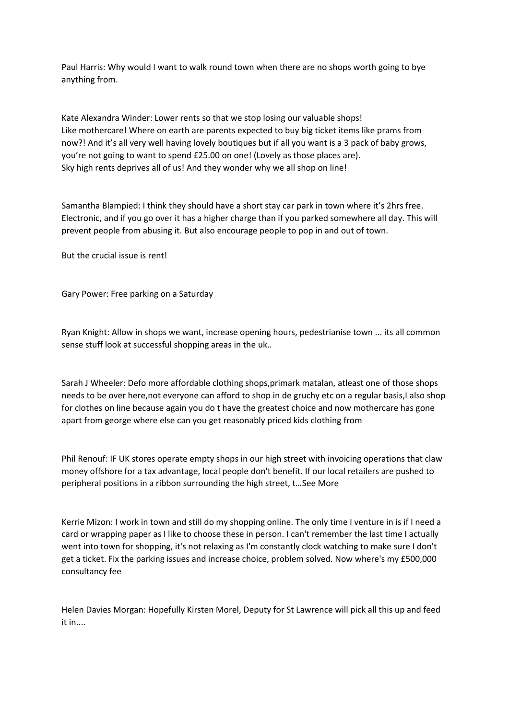[Paul Harris:](https://www.facebook.com/pauljerseyci?fref=ufi&rc=p) Why would I want to walk round town when there are no shops worth going to bye anything from.

[Kate Alexandra Winder:](https://www.facebook.com/duchess.hutchinson?fref=ufi&rc=p) Lower rents so that we stop losing our valuable shops! Like mothercare! Where on earth are parents expected to buy big ticket items like prams from now?! And it's all very well having lovely boutiques but if all you want is a 3 pack of baby grows, you're not going to want to spend £25.00 on one! (Lovely as those places are). Sky high rents deprives all of us! And they wonder why we all shop on line!

[Samantha Blampied:](https://www.facebook.com/samantha.blampied?fref=ufi&rc=p) I think they should have a short stay car park in town where it's 2hrs free. Electronic, and if you go over it has a higher charge than if you parked somewhere all day. This will prevent people from abusing it. But also encourage people to pop in and out of town.

But the crucial issue is rent!

[Gary Power:](https://www.facebook.com/Garypower88?fref=ufi&rc=p) Free parking on a Saturday

[Ryan Knight:](https://www.facebook.com/ry.knight?fref=ufi&rc=p) Allow in shops we want, increase opening hours, pedestrianise town ... its all common sense stuff look at successful shopping areas in the uk..

[Sarah J Wheeler:](https://www.facebook.com/sarah.j.wheeler.54?fref=ufi&rc=p) Defo more affordable clothing shops,primark matalan, atleast one of those shops needs to be over here,not everyone can afford to shop in de gruchy etc on a regular basis,I also shop for clothes on line because again you do t have the greatest choice and now mothercare has gone apart from george where else can you get reasonably priced kids clothing from

[Phil Renouf:](https://www.facebook.com/phil.renouf.14?fref=ufi&rc=p) IF UK stores operate empty shops in our high street with invoicing operations that claw money offshore for a tax advantage, local people don't benefit. If our local retailers are pushed to peripheral positions in a ribbon surrounding the high street, t…[See More](https://www.facebook.com/304564892004/posts/10155758117567005/)

[Kerrie Mizon:](https://www.facebook.com/kerrie.mizon?fref=ufi&rc=p) I work in town and still do my shopping online. The only time I venture in is if I need a card or wrapping paper as I like to choose these in person. I can't remember the last time I actually went into town for shopping, it's not relaxing as I'm constantly clock watching to make sure I don't get a ticket. Fix the parking issues and increase choice, problem solved. Now where's my £500,000 consultancy fee

[Helen Davies Morgan:](https://www.facebook.com/helen.davies.923171?fref=ufi&rc=p) Hopefull[y Kirsten Morel, Deputy for St Lawrence](https://www.facebook.com/kirsten4stlawrence/?hc_location=ufi) will pick all this up and feed it in....